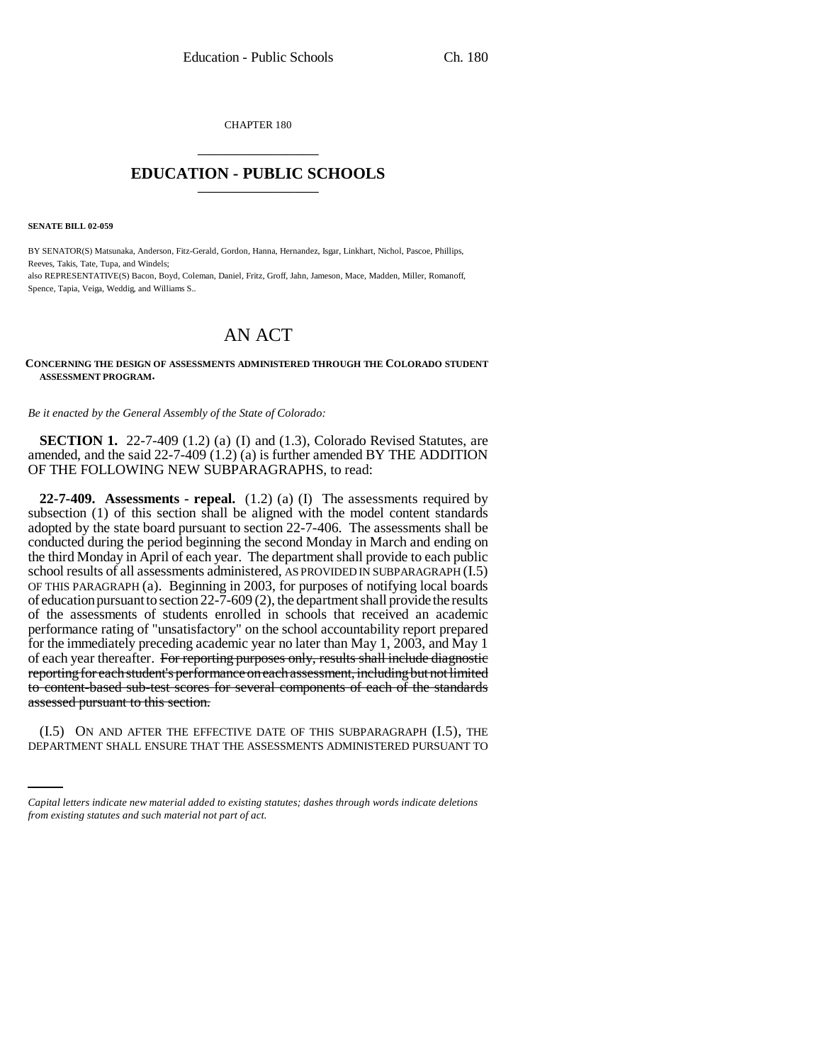CHAPTER 180 \_\_\_\_\_\_\_\_\_\_\_\_\_\_\_

## **EDUCATION - PUBLIC SCHOOLS** \_\_\_\_\_\_\_\_\_\_\_\_\_\_\_

**SENATE BILL 02-059**

 

BY SENATOR(S) Matsunaka, Anderson, Fitz-Gerald, Gordon, Hanna, Hernandez, Isgar, Linkhart, Nichol, Pascoe, Phillips, Reeves, Takis, Tate, Tupa, and Windels;

also REPRESENTATIVE(S) Bacon, Boyd, Coleman, Daniel, Fritz, Groff, Jahn, Jameson, Mace, Madden, Miller, Romanoff, Spence, Tapia, Veiga, Weddig, and Williams S..

## AN ACT

## **CONCERNING THE DESIGN OF ASSESSMENTS ADMINISTERED THROUGH THE COLORADO STUDENT ASSESSMENT PROGRAM.**

*Be it enacted by the General Assembly of the State of Colorado:*

**SECTION 1.** 22-7-409 (1.2) (a) (I) and (1.3), Colorado Revised Statutes, are amended, and the said 22-7-409 (1.2) (a) is further amended BY THE ADDITION OF THE FOLLOWING NEW SUBPARAGRAPHS, to read:

**22-7-409. Assessments - repeal.** (1.2) (a) (I) The assessments required by subsection (1) of this section shall be aligned with the model content standards adopted by the state board pursuant to section 22-7-406. The assessments shall be conducted during the period beginning the second Monday in March and ending on the third Monday in April of each year. The department shall provide to each public school results of all assessments administered, AS PROVIDED IN SUBPARAGRAPH (I.5) OF THIS PARAGRAPH (a). Beginning in 2003, for purposes of notifying local boards of education pursuant to section 22-7-609 (2), the department shall provide the results of the assessments of students enrolled in schools that received an academic performance rating of "unsatisfactory" on the school accountability report prepared for the immediately preceding academic year no later than May 1, 2003, and May 1 of each year thereafter. For reporting purposes only, results shall include diagnostic reporting for each student's performance on each assessment, including but not limited to content-based sub-test scores for several components of each of the standards assessed pursuant to this section.

(I.5) ON AND AFTER THE EFFECTIVE DATE OF THIS SUBPARAGRAPH (I.5), THE DEPARTMENT SHALL ENSURE THAT THE ASSESSMENTS ADMINISTERED PURSUANT TO

*Capital letters indicate new material added to existing statutes; dashes through words indicate deletions from existing statutes and such material not part of act.*